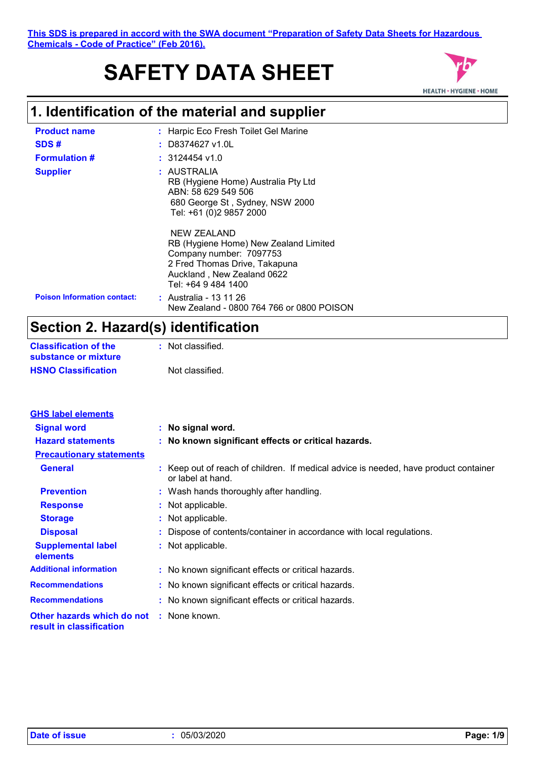# **SAFETY DATA SHEET**



# **1. Identification of the material and supplier**

| <b>Product name</b>                | : Harpic Eco Fresh Toilet Gel Marine                                                                                                                                  |
|------------------------------------|-----------------------------------------------------------------------------------------------------------------------------------------------------------------------|
| SDS#                               | $:$ D8374627 v1.0L                                                                                                                                                    |
| <b>Formulation #</b>               | $: 3124454$ v1.0                                                                                                                                                      |
| <b>Supplier</b>                    | : AUSTRALIA<br>RB (Hygiene Home) Australia Pty Ltd<br>ABN: 58 629 549 506<br>680 George St, Sydney, NSW 2000<br>Tel: +61 (0)2 9857 2000                               |
|                                    | NEW ZEALAND<br>RB (Hygiene Home) New Zealand Limited<br>Company number: 7097753<br>2 Fred Thomas Drive, Takapuna<br>Auckland, New Zealand 0622<br>Tel: +64 9 484 1400 |
| <b>Poison Information contact:</b> | : Australia - 13 11 26<br>New Zealand - 0800 764 766 or 0800 POISON                                                                                                   |

# **Section 2. Hazard(s) identification**

| <b>Classification of the</b> | : Not classified. |
|------------------------------|-------------------|
| substance or mixture         |                   |
| <b>HSNO Classification</b>   | Not classified.   |

| <b>GHS label elements</b>                              |                                                                                                           |
|--------------------------------------------------------|-----------------------------------------------------------------------------------------------------------|
| <b>Signal word</b>                                     | : No signal word.                                                                                         |
| <b>Hazard statements</b>                               | : No known significant effects or critical hazards.                                                       |
| <b>Precautionary statements</b>                        |                                                                                                           |
| <b>General</b>                                         | : Keep out of reach of children. If medical advice is needed, have product container<br>or label at hand. |
| <b>Prevention</b>                                      | : Wash hands thoroughly after handling.                                                                   |
| <b>Response</b>                                        | : Not applicable.                                                                                         |
| <b>Storage</b>                                         | : Not applicable.                                                                                         |
| <b>Disposal</b>                                        | : Dispose of contents/container in accordance with local regulations.                                     |
| <b>Supplemental label</b><br>elements                  | : Not applicable.                                                                                         |
| <b>Additional information</b>                          | : No known significant effects or critical hazards.                                                       |
| <b>Recommendations</b>                                 | : No known significant effects or critical hazards.                                                       |
| <b>Recommendations</b>                                 | : No known significant effects or critical hazards.                                                       |
| Other hazards which do not<br>result in classification | : None known.                                                                                             |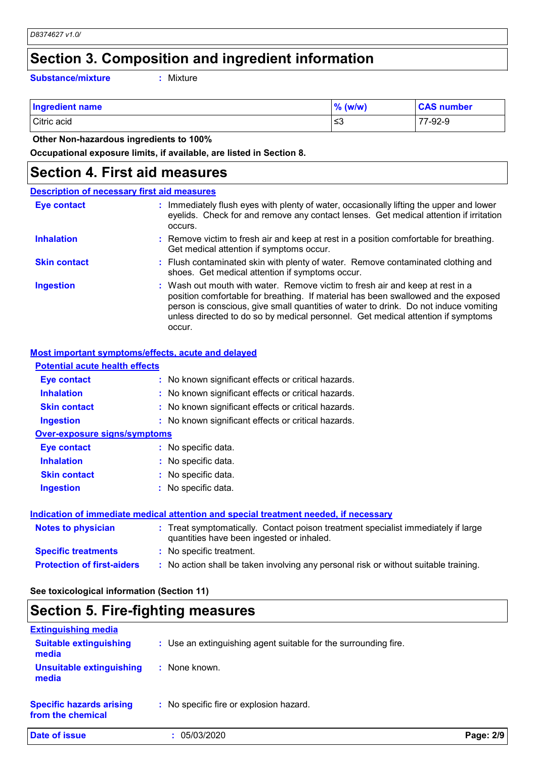### **Section 3. Composition and ingredient information**

**Substance/mixture :**

Mixture

| <b>Ingredient name</b> | $\%$ (w/w) | <b>CAS number</b> |
|------------------------|------------|-------------------|
| Citric acid            | ו≥ ≥       | 77-92-9           |

 **Other Non-hazardous ingredients to 100%**

**Occupational exposure limits, if available, are listed in Section 8.**

### **Section 4. First aid measures**

#### Wash out mouth with water. Remove victim to fresh air and keep at rest in a position comfortable for breathing. If material has been swallowed and the exposed person is conscious, give small quantities of water to drink. Do not induce vomiting unless directed to do so by medical personnel. Get medical attention if symptoms occur. **:** Immediately flush eyes with plenty of water, occasionally lifting the upper and lower eyelids. Check for and remove any contact lenses. Get medical attention if irritation occurs. Flush contaminated skin with plenty of water. Remove contaminated clothing and **:** shoes. Get medical attention if symptoms occur. Remove victim to fresh air and keep at rest in a position comfortable for breathing. **:** Get medical attention if symptoms occur. **Eye contact Skin contact Inhalation Ingestion : Description of necessary first aid measures**

#### **Most important symptoms/effects, acute and delayed**

| <b>Potential acute health effects</b> |                                                                                                                                |
|---------------------------------------|--------------------------------------------------------------------------------------------------------------------------------|
| Eye contact                           | : No known significant effects or critical hazards.                                                                            |
| <b>Inhalation</b>                     | : No known significant effects or critical hazards.                                                                            |
| <b>Skin contact</b>                   | : No known significant effects or critical hazards.                                                                            |
| <b>Ingestion</b>                      | : No known significant effects or critical hazards.                                                                            |
| <b>Over-exposure signs/symptoms</b>   |                                                                                                                                |
| Eye contact                           | : No specific data.                                                                                                            |
| <b>Inhalation</b>                     | : No specific data.                                                                                                            |
| <b>Skin contact</b>                   | : No specific data.                                                                                                            |
| <b>Ingestion</b>                      | $:$ No specific data.                                                                                                          |
|                                       | Indication of immediate medical attention and special treatment needed, if necessary                                           |
| <b>Notes to physician</b>             | : Treat symptomatically. Contact poison treatment specialist immediately if large<br>quantities have been ingested or inhaled. |
| <b>Specific treatments</b>            | : No specific treatment.                                                                                                       |
| <b>Protection of first-aiders</b>     | : No action shall be taken involving any personal risk or without suitable training.                                           |

#### **See toxicological information (Section 11)**

# **Section 5. Fire-fighting measures**

| <b>Extinguishing media</b>                           |                                                                 |           |
|------------------------------------------------------|-----------------------------------------------------------------|-----------|
| <b>Suitable extinguishing</b><br>media               | : Use an extinguishing agent suitable for the surrounding fire. |           |
| <b>Unsuitable extinguishing</b><br>media             | None known.                                                     |           |
| <b>Specific hazards arising</b><br>from the chemical | : No specific fire or explosion hazard.                         |           |
| Date of issue                                        | 05/03/2020                                                      | Page: 2/9 |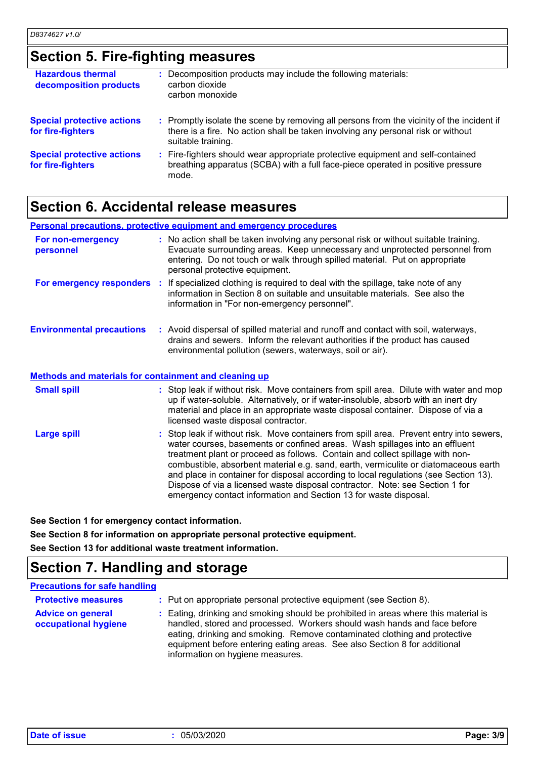# **Section 5. Fire-fighting measures**

| <b>Hazardous thermal</b><br>decomposition products     | : Decomposition products may include the following materials:<br>carbon dioxide<br>carbon monoxide                                                                                                  |
|--------------------------------------------------------|-----------------------------------------------------------------------------------------------------------------------------------------------------------------------------------------------------|
| <b>Special protective actions</b><br>for fire-fighters | : Promptly isolate the scene by removing all persons from the vicinity of the incident if<br>there is a fire. No action shall be taken involving any personal risk or without<br>suitable training. |
| <b>Special protective actions</b><br>for fire-fighters | : Fire-fighters should wear appropriate protective equipment and self-contained<br>breathing apparatus (SCBA) with a full face-piece operated in positive pressure<br>mode.                         |

### **Section 6. Accidental release measures**

|                                                       | <b>Personal precautions, protective equipment and emergency procedures</b>                                                                                                                                                                                                                                                                                                                                                                                                                                                                                                                  |
|-------------------------------------------------------|---------------------------------------------------------------------------------------------------------------------------------------------------------------------------------------------------------------------------------------------------------------------------------------------------------------------------------------------------------------------------------------------------------------------------------------------------------------------------------------------------------------------------------------------------------------------------------------------|
| For non-emergency<br>personnel                        | : No action shall be taken involving any personal risk or without suitable training.<br>Evacuate surrounding areas. Keep unnecessary and unprotected personnel from<br>entering. Do not touch or walk through spilled material. Put on appropriate<br>personal protective equipment.                                                                                                                                                                                                                                                                                                        |
|                                                       | <b>For emergency responders</b> : If specialized clothing is required to deal with the spillage, take note of any<br>information in Section 8 on suitable and unsuitable materials. See also the<br>information in "For non-emergency personnel".                                                                                                                                                                                                                                                                                                                                           |
| <b>Environmental precautions</b>                      | : Avoid dispersal of spilled material and runoff and contact with soil, waterways,<br>drains and sewers. Inform the relevant authorities if the product has caused<br>environmental pollution (sewers, waterways, soil or air).                                                                                                                                                                                                                                                                                                                                                             |
| Methods and materials for containment and cleaning up |                                                                                                                                                                                                                                                                                                                                                                                                                                                                                                                                                                                             |
| <b>Small spill</b>                                    | : Stop leak if without risk. Move containers from spill area. Dilute with water and mop<br>up if water-soluble. Alternatively, or if water-insoluble, absorb with an inert dry<br>material and place in an appropriate waste disposal container. Dispose of via a<br>licensed waste disposal contractor.                                                                                                                                                                                                                                                                                    |
| <b>Large spill</b>                                    | : Stop leak if without risk. Move containers from spill area. Prevent entry into sewers,<br>water courses, basements or confined areas. Wash spillages into an effluent<br>treatment plant or proceed as follows. Contain and collect spillage with non-<br>combustible, absorbent material e.g. sand, earth, vermiculite or diatomaceous earth<br>and place in container for disposal according to local regulations (see Section 13).<br>Dispose of via a licensed waste disposal contractor. Note: see Section 1 for<br>emergency contact information and Section 13 for waste disposal. |

**See Section 1 for emergency contact information. See Section 8 for information on appropriate personal protective equipment.**

**See Section 13 for additional waste treatment information.**

# **Section 7. Handling and storage**

#### **Precautions for safe handling**

| <b>Protective measures</b>                       | : Put on appropriate personal protective equipment (see Section 8).                                                                                                                                                                                                                                                                                           |
|--------------------------------------------------|---------------------------------------------------------------------------------------------------------------------------------------------------------------------------------------------------------------------------------------------------------------------------------------------------------------------------------------------------------------|
| <b>Advice on general</b><br>occupational hygiene | : Eating, drinking and smoking should be prohibited in areas where this material is<br>handled, stored and processed. Workers should wash hands and face before<br>eating, drinking and smoking. Remove contaminated clothing and protective<br>equipment before entering eating areas. See also Section 8 for additional<br>information on hygiene measures. |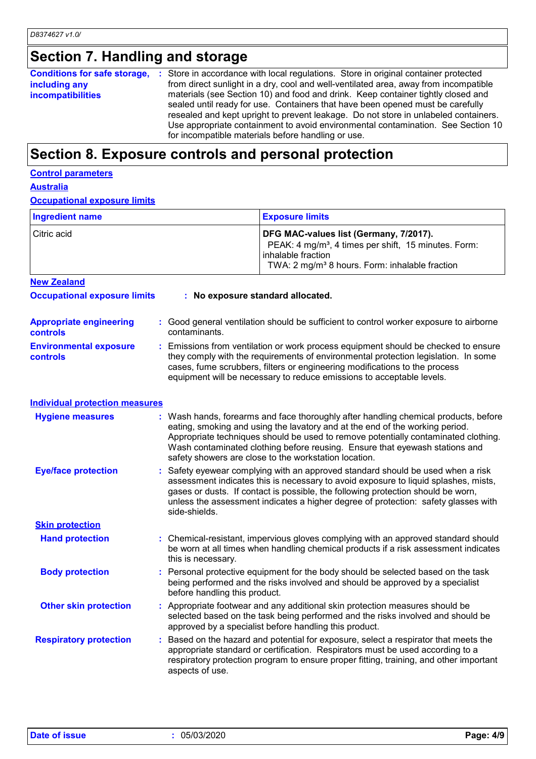# **Section 7. Handling and storage**

|                                           | <b>Conditions for safe storage, :</b> Store in accordance with local regulations. Store in original container protected                                                                                                                                                                                                                                                                                                                                                                     |
|-------------------------------------------|---------------------------------------------------------------------------------------------------------------------------------------------------------------------------------------------------------------------------------------------------------------------------------------------------------------------------------------------------------------------------------------------------------------------------------------------------------------------------------------------|
| including any<br><b>incompatibilities</b> | from direct sunlight in a dry, cool and well-ventilated area, away from incompatible<br>materials (see Section 10) and food and drink. Keep container tightly closed and<br>sealed until ready for use. Containers that have been opened must be carefully<br>resealed and kept upright to prevent leakage. Do not store in unlabeled containers.<br>Use appropriate containment to avoid environmental contamination. See Section 10<br>for incompatible materials before handling or use. |

# **Section 8. Exposure controls and personal protection**

|--|

**Australia**

**Occupational exposure limits**

| <b>Ingredient name</b> | <b>Exposure limits</b>                                                                                                                                                                         |
|------------------------|------------------------------------------------------------------------------------------------------------------------------------------------------------------------------------------------|
| l Citric acid          | DFG MAC-values list (Germany, 7/2017).<br>PEAK: 4 mg/m <sup>3</sup> , 4 times per shift, 15 minutes. Form:<br>inhalable fraction<br>TWA: 2 mg/m <sup>3</sup> 8 hours. Form: inhalable fraction |
| <b>New Zealand</b>     |                                                                                                                                                                                                |

| <b>Occupational exposure limits</b>        | : No exposure standard allocated.                                                                                                                                                                                                                                                                                               |  |  |
|--------------------------------------------|---------------------------------------------------------------------------------------------------------------------------------------------------------------------------------------------------------------------------------------------------------------------------------------------------------------------------------|--|--|
| <b>Appropriate engineering</b><br>controls | : Good general ventilation should be sufficient to control worker exposure to airborne<br>contaminants.                                                                                                                                                                                                                         |  |  |
| <b>Environmental exposure</b><br>controls  | : Emissions from ventilation or work process equipment should be checked to ensure<br>they comply with the requirements of environmental protection legislation. In some<br>cases, fume scrubbers, filters or engineering modifications to the process<br>equipment will be necessary to reduce emissions to acceptable levels. |  |  |

| <b>Individual protection measures</b> |                                                                                                                                                                                                                                                                                                                                                                                                   |
|---------------------------------------|---------------------------------------------------------------------------------------------------------------------------------------------------------------------------------------------------------------------------------------------------------------------------------------------------------------------------------------------------------------------------------------------------|
| <b>Hygiene measures</b>               | : Wash hands, forearms and face thoroughly after handling chemical products, before<br>eating, smoking and using the lavatory and at the end of the working period.<br>Appropriate techniques should be used to remove potentially contaminated clothing.<br>Wash contaminated clothing before reusing. Ensure that eyewash stations and<br>safety showers are close to the workstation location. |
| <b>Eye/face protection</b>            | : Safety eyewear complying with an approved standard should be used when a risk<br>assessment indicates this is necessary to avoid exposure to liquid splashes, mists,<br>gases or dusts. If contact is possible, the following protection should be worn,                                                                                                                                        |

|                               | unless the assessment indicates a higher degree of protection: safety glasses with<br>side-shields.                                                                                                                                                                               |
|-------------------------------|-----------------------------------------------------------------------------------------------------------------------------------------------------------------------------------------------------------------------------------------------------------------------------------|
| <b>Skin protection</b>        |                                                                                                                                                                                                                                                                                   |
| <b>Hand protection</b>        | : Chemical-resistant, impervious gloves complying with an approved standard should<br>be worn at all times when handling chemical products if a risk assessment indicates<br>this is necessary.                                                                                   |
| <b>Body protection</b>        | : Personal protective equipment for the body should be selected based on the task<br>being performed and the risks involved and should be approved by a specialist<br>before handling this product.                                                                               |
| <b>Other skin protection</b>  | : Appropriate footwear and any additional skin protection measures should be<br>selected based on the task being performed and the risks involved and should be<br>approved by a specialist before handling this product.                                                         |
| <b>Respiratory protection</b> | Based on the hazard and potential for exposure, select a respirator that meets the<br>appropriate standard or certification. Respirators must be used according to a<br>respiratory protection program to ensure proper fitting, training, and other important<br>aspects of use. |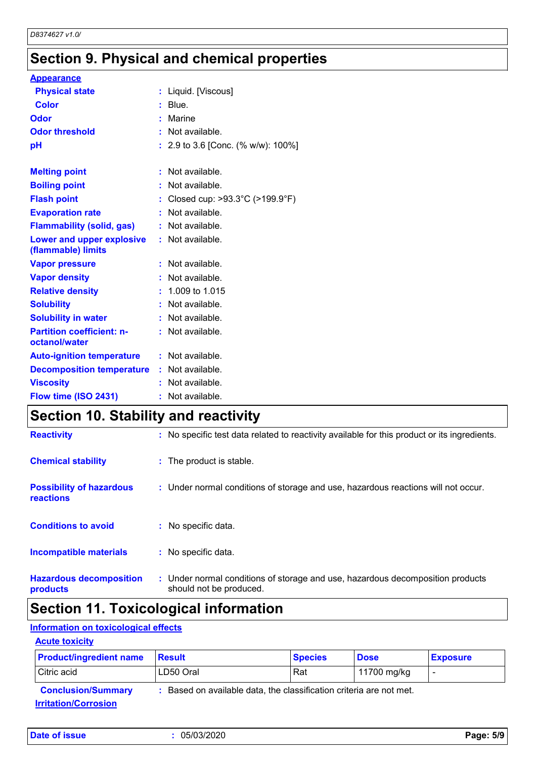# **Section 9. Physical and chemical properties**

| <b>Appearance</b>                                 |                                    |
|---------------------------------------------------|------------------------------------|
| <b>Physical state</b>                             | : Liquid. [Viscous]                |
| <b>Color</b>                                      | $:$ Blue.                          |
| Odor                                              | Marine                             |
| <b>Odor threshold</b>                             | Not available.                     |
| рH                                                | : 2.9 to 3.6 [Conc. (% w/w): 100%] |
|                                                   |                                    |
| <b>Melting point</b>                              | : Not available.                   |
| <b>Boiling point</b>                              | : Not available.                   |
| <b>Flash point</b>                                | Closed cup: >93.3°C (>199.9°F)     |
| <b>Evaporation rate</b>                           | Not available.                     |
| <b>Flammability (solid, gas)</b>                  | Not available.                     |
| Lower and upper explosive<br>(flammable) limits   | : Not available.                   |
| <b>Vapor pressure</b>                             | Not available.                     |
| <b>Vapor density</b>                              | Not available.                     |
| <b>Relative density</b>                           | $: 1.009$ to 1.015                 |
| <b>Solubility</b>                                 | : Not available.                   |
| <b>Solubility in water</b>                        | : Not available.                   |
| <b>Partition coefficient: n-</b><br>octanol/water | : Not available.                   |
| <b>Auto-ignition temperature</b>                  | : Not available.                   |
| <b>Decomposition temperature</b>                  | : Not available.                   |
| <b>Viscosity</b>                                  | Not available.                     |
| Flow time (ISO 2431)                              | : Not available.                   |

# **Section 10. Stability and reactivity**

| <b>Reactivity</b>                            | : No specific test data related to reactivity available for this product or its ingredients.              |
|----------------------------------------------|-----------------------------------------------------------------------------------------------------------|
| <b>Chemical stability</b>                    | : The product is stable.                                                                                  |
| <b>Possibility of hazardous</b><br>reactions | : Under normal conditions of storage and use, hazardous reactions will not occur.                         |
| <b>Conditions to avoid</b>                   | : No specific data.                                                                                       |
| <b>Incompatible materials</b>                | : No specific data.                                                                                       |
| <b>Hazardous decomposition</b><br>products   | : Under normal conditions of storage and use, hazardous decomposition products<br>should not be produced. |

# **Section 11. Toxicological information**

### **Information on toxicological effects**

#### **Acute toxicity**

| <b>Product/ingredient name</b>     | <b>Result</b>                                                     | <b>Species</b> | <b>Dose</b> | <b>Exposure</b> |
|------------------------------------|-------------------------------------------------------------------|----------------|-------------|-----------------|
| Citric acid                        | LD50 Oral                                                         | Rat            | 11700 mg/kg |                 |
| <b>Conclusion/Summary</b>          | Based on available data, the classification criteria are not met. |                |             |                 |
| <u><b>Irritation/Corrosion</b></u> |                                                                   |                |             |                 |

| Date of issue | 05/03/2020 | Page: 5/9 |
|---------------|------------|-----------|
|---------------|------------|-----------|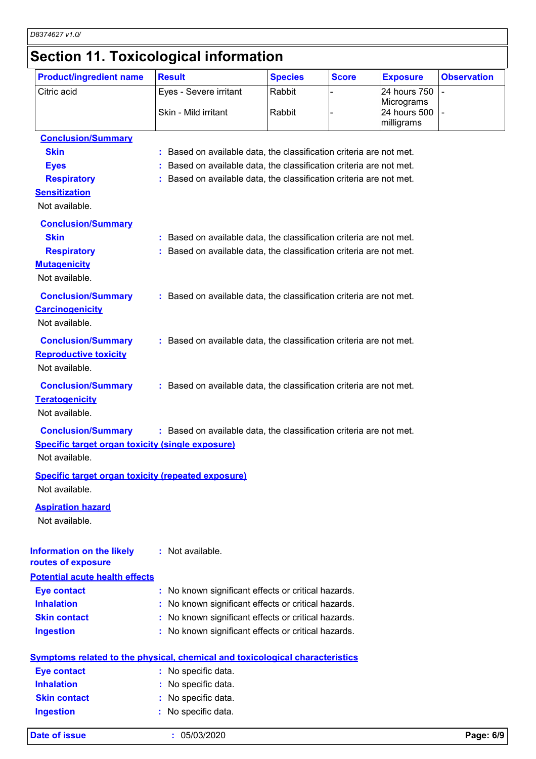# **Section 11. Toxicological information**

| <b>Product/ingredient name</b>                            | <b>Result</b>                                                                       | <b>Species</b> | <b>Score</b> | <b>Exposure</b>            | <b>Observation</b> |
|-----------------------------------------------------------|-------------------------------------------------------------------------------------|----------------|--------------|----------------------------|--------------------|
| Citric acid                                               | Eyes - Severe irritant                                                              | Rabbit         |              | 24 hours 750               |                    |
|                                                           | Skin - Mild irritant                                                                | Rabbit         |              | Micrograms<br>24 hours 500 |                    |
|                                                           |                                                                                     |                |              | milligrams                 |                    |
| <b>Conclusion/Summary</b>                                 |                                                                                     |                |              |                            |                    |
| <b>Skin</b>                                               | : Based on available data, the classification criteria are not met.                 |                |              |                            |                    |
| <b>Eyes</b>                                               | : Based on available data, the classification criteria are not met.                 |                |              |                            |                    |
| <b>Respiratory</b>                                        | : Based on available data, the classification criteria are not met.                 |                |              |                            |                    |
| <b>Sensitization</b>                                      |                                                                                     |                |              |                            |                    |
| Not available.                                            |                                                                                     |                |              |                            |                    |
| <b>Conclusion/Summary</b>                                 |                                                                                     |                |              |                            |                    |
| <b>Skin</b>                                               | : Based on available data, the classification criteria are not met.                 |                |              |                            |                    |
| <b>Respiratory</b>                                        | : Based on available data, the classification criteria are not met.                 |                |              |                            |                    |
| <b>Mutagenicity</b>                                       |                                                                                     |                |              |                            |                    |
| Not available.                                            |                                                                                     |                |              |                            |                    |
| <b>Conclusion/Summary</b>                                 | : Based on available data, the classification criteria are not met.                 |                |              |                            |                    |
| <b>Carcinogenicity</b>                                    |                                                                                     |                |              |                            |                    |
| Not available.                                            |                                                                                     |                |              |                            |                    |
|                                                           |                                                                                     |                |              |                            |                    |
| <b>Conclusion/Summary</b>                                 | : Based on available data, the classification criteria are not met.                 |                |              |                            |                    |
| <b>Reproductive toxicity</b>                              |                                                                                     |                |              |                            |                    |
| Not available.                                            |                                                                                     |                |              |                            |                    |
| <b>Conclusion/Summary</b>                                 | : Based on available data, the classification criteria are not met.                 |                |              |                            |                    |
| <b>Teratogenicity</b>                                     |                                                                                     |                |              |                            |                    |
| Not available.                                            |                                                                                     |                |              |                            |                    |
| <b>Conclusion/Summary</b>                                 | : Based on available data, the classification criteria are not met.                 |                |              |                            |                    |
| <b>Specific target organ toxicity (single exposure)</b>   |                                                                                     |                |              |                            |                    |
| Not available.                                            |                                                                                     |                |              |                            |                    |
| <b>Specific target organ toxicity (repeated exposure)</b> |                                                                                     |                |              |                            |                    |
| Not available.                                            |                                                                                     |                |              |                            |                    |
| <b>Aspiration hazard</b>                                  |                                                                                     |                |              |                            |                    |
| Not available.                                            |                                                                                     |                |              |                            |                    |
|                                                           |                                                                                     |                |              |                            |                    |
| <b>Information on the likely</b>                          | : Not available.                                                                    |                |              |                            |                    |
| routes of exposure                                        |                                                                                     |                |              |                            |                    |
| <b>Potential acute health effects</b>                     |                                                                                     |                |              |                            |                    |
| <b>Eye contact</b>                                        | : No known significant effects or critical hazards.                                 |                |              |                            |                    |
| <b>Inhalation</b>                                         | : No known significant effects or critical hazards.                                 |                |              |                            |                    |
| <b>Skin contact</b>                                       | : No known significant effects or critical hazards.                                 |                |              |                            |                    |
| <b>Ingestion</b>                                          | : No known significant effects or critical hazards.                                 |                |              |                            |                    |
|                                                           |                                                                                     |                |              |                            |                    |
|                                                           | <b>Symptoms related to the physical, chemical and toxicological characteristics</b> |                |              |                            |                    |
| <b>Eye contact</b><br><b>Inhalation</b>                   | : No specific data.                                                                 |                |              |                            |                    |
|                                                           | : No specific data.                                                                 |                |              |                            |                    |
| <b>Skin contact</b>                                       | : No specific data.                                                                 |                |              |                            |                    |
| <b>Ingestion</b>                                          | No specific data.                                                                   |                |              |                            |                    |
| <b>Date of issue</b>                                      | : 05/03/2020                                                                        |                |              |                            | Page: 6/9          |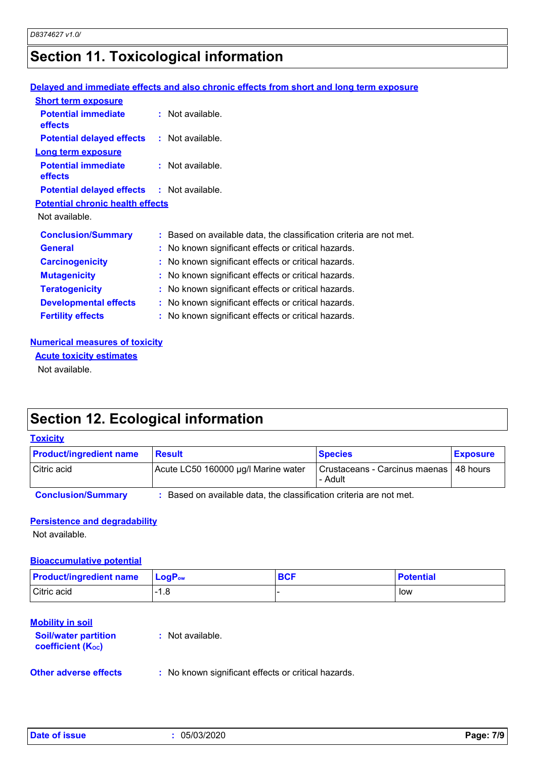# **Section 11. Toxicological information**

#### **Delayed and immediate effects and also chronic effects from short and long term exposure**

| <b>Short term exposure</b>                        |                                                                     |
|---------------------------------------------------|---------------------------------------------------------------------|
| <b>Potential immediate</b><br>effects             | $:$ Not available.                                                  |
| <b>Potential delayed effects : Not available.</b> |                                                                     |
| <b>Long term exposure</b>                         |                                                                     |
| <b>Potential immediate</b><br><b>effects</b>      | $:$ Not available.                                                  |
| <b>Potential delayed effects : Not available.</b> |                                                                     |
| <b>Potential chronic health effects</b>           |                                                                     |
| Not available.                                    |                                                                     |
| <b>Conclusion/Summary</b>                         | : Based on available data, the classification criteria are not met. |
| <b>General</b>                                    | : No known significant effects or critical hazards.                 |
| <b>Carcinogenicity</b>                            | : No known significant effects or critical hazards.                 |
| <b>Mutagenicity</b>                               | : No known significant effects or critical hazards.                 |
| <b>Teratogenicity</b>                             | : No known significant effects or critical hazards.                 |
| <b>Developmental effects</b>                      | : No known significant effects or critical hazards.                 |
| <b>Fertility effects</b>                          | : No known significant effects or critical hazards.                 |

#### **Numerical measures of toxicity**

**Acute toxicity estimates**

Not available.

# **Section 12. Ecological information**

#### **Toxicity**

| <b>Product/ingredient name</b> | <b>Result</b>                       | <b>Species</b>                                      | <b>Exposure</b> |
|--------------------------------|-------------------------------------|-----------------------------------------------------|-----------------|
| Citric acid                    | Acute LC50 160000 µg/l Marine water | Crustaceans - Carcinus maenas   48 hours<br>- Adult |                 |

**Conclusion/Summary :** Based on available data, the classification criteria are not met.

#### **Persistence and degradability**

Not available.

#### **Bioaccumulative potential**

| <b>Product/ingredient name</b> | $\blacksquare$ Loq $\mathsf{P}_{\mathsf{ow}}$ | <b>BCF</b> | <b>Potential</b> |
|--------------------------------|-----------------------------------------------|------------|------------------|
| Citric acid                    | - 0<br>1.C                                    |            | low              |

#### **Mobility in soil**

| <b>Soil/water partition</b><br>coefficient (K <sub>oc</sub> ) | : Not available.                                    |
|---------------------------------------------------------------|-----------------------------------------------------|
| <b>Other adverse effects</b>                                  | : No known significant effects or critical hazards. |

|  | Date of issue |  |
|--|---------------|--|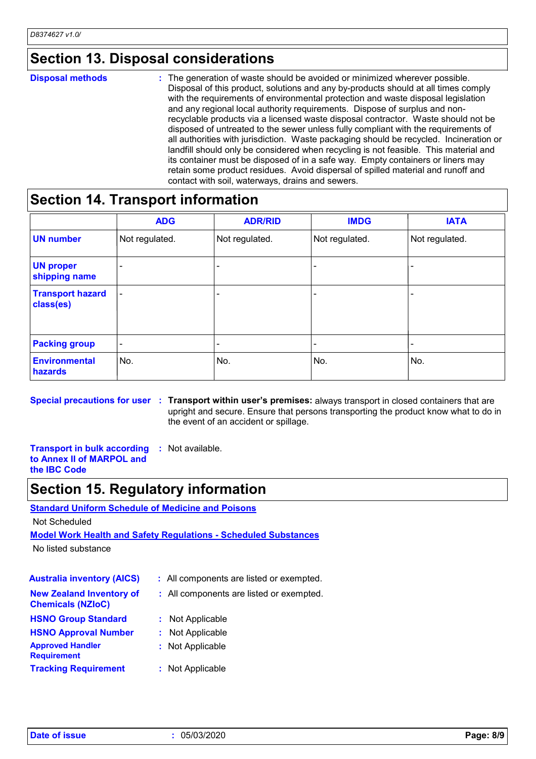### **Section 13. Disposal considerations**

#### The generation of waste should be avoided or minimized wherever possible. Disposal of this product, solutions and any by-products should at all times comply with the requirements of environmental protection and waste disposal legislation and any regional local authority requirements. Dispose of surplus and nonrecyclable products via a licensed waste disposal contractor. Waste should not be disposed of untreated to the sewer unless fully compliant with the requirements of all authorities with jurisdiction. Waste packaging should be recycled. Incineration or landfill should only be considered when recycling is not feasible. This material and its container must be disposed of in a safe way. Empty containers or liners may retain some product residues. Avoid dispersal of spilled material and runoff and contact with soil, waterways, drains and sewers. **Disposal methods :**

# **Section 14. Transport information**

|                                      | <b>ADG</b>               | <b>ADR/RID</b> | <b>IMDG</b>    | <b>IATA</b>    |
|--------------------------------------|--------------------------|----------------|----------------|----------------|
| <b>UN number</b>                     | Not regulated.           | Not regulated. | Not regulated. | Not regulated. |
| <b>UN proper</b><br>shipping name    |                          | -              |                |                |
| <b>Transport hazard</b><br>class(es) | $\overline{\phantom{a}}$ |                |                |                |
| <b>Packing group</b>                 | $\overline{\phantom{a}}$ |                |                |                |
| <b>Environmental</b><br>hazards      | No.                      | No.            | No.            | No.            |

**Special precautions for user Transport within user's premises:** always transport in closed containers that are **:** upright and secure. Ensure that persons transporting the product know what to do in the event of an accident or spillage.

**Transport in bulk according to Annex II of MARPOL and the IBC Code :** Not available.

# **Section 15. Regulatory information**

**Standard Uniform Schedule of Medicine and Poisons**

Not Scheduled

**Model Work Health and Safety Regulations - Scheduled Substances**

No listed substance

| <b>Australia inventory (AICS)</b>                           | : All components are listed or exempted. |
|-------------------------------------------------------------|------------------------------------------|
| <b>New Zealand Inventory of</b><br><b>Chemicals (NZIoC)</b> | : All components are listed or exempted. |
| <b>HSNO Group Standard</b>                                  | : Not Applicable                         |
| <b>HSNO Approval Number</b>                                 | Not Applicable<br>t.                     |
| <b>Approved Handler</b><br><b>Requirement</b>               | : Not Applicable                         |
| <b>Tracking Requirement</b>                                 | : Not Applicable                         |